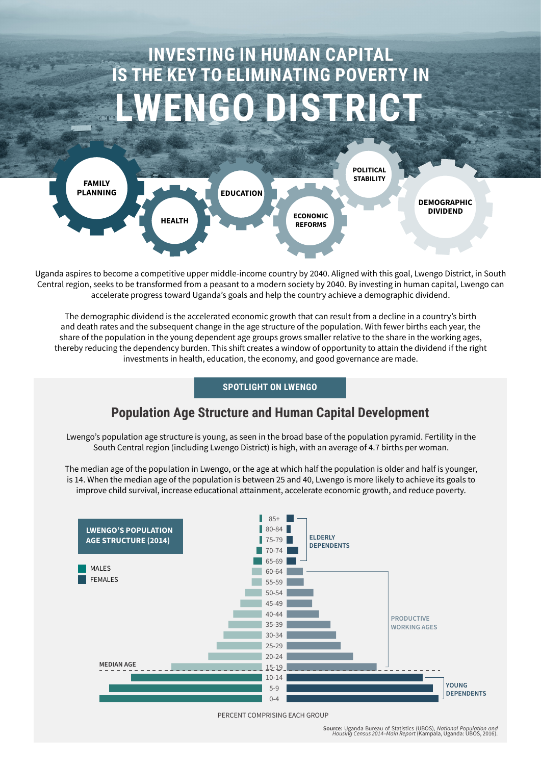# **INVESTING IN HUMAN CAPITAL IS THE KEY TO ELIMINATING POVERTY IN** NGODISTRICT



Uganda aspires to become a competitive upper middle-income country by 2040. Aligned with this goal, Lwengo District, in South Central region, seeks to be transformed from a peasant to a modern society by 2040. By investing in human capital, Lwengo can accelerate progress toward Uganda's goals and help the country achieve a demographic dividend.

The demographic dividend is the accelerated economic growth that can result from a decline in a country's birth and death rates and the subsequent change in the age structure of the population. With fewer births each year, the share of the population in the young dependent age groups grows smaller relative to the share in the working ages, thereby reducing the dependency burden. This shift creates a window of opportunity to attain the dividend if the right investments in health, education, the economy, and good governance are made.

## **SPOTLIGHT ON LWENGO**

# **Population Age Structure and Human Capital Development**

Lwengo's population age structure is young, as seen in the broad base of the population pyramid. Fertility in the South Central region (including Lwengo District) is high, with an average of 4.7 births per woman.

The median age of the population in Lwengo, or the age at which half the population is older and half is younger, is 14. When the median age of the population is between 25 and 40, Lwengo is more likely to achieve its goals to improve child survival, increase educational attainment, accelerate economic growth, and reduce poverty.



PERCENT COMPRISING EACH GROUP